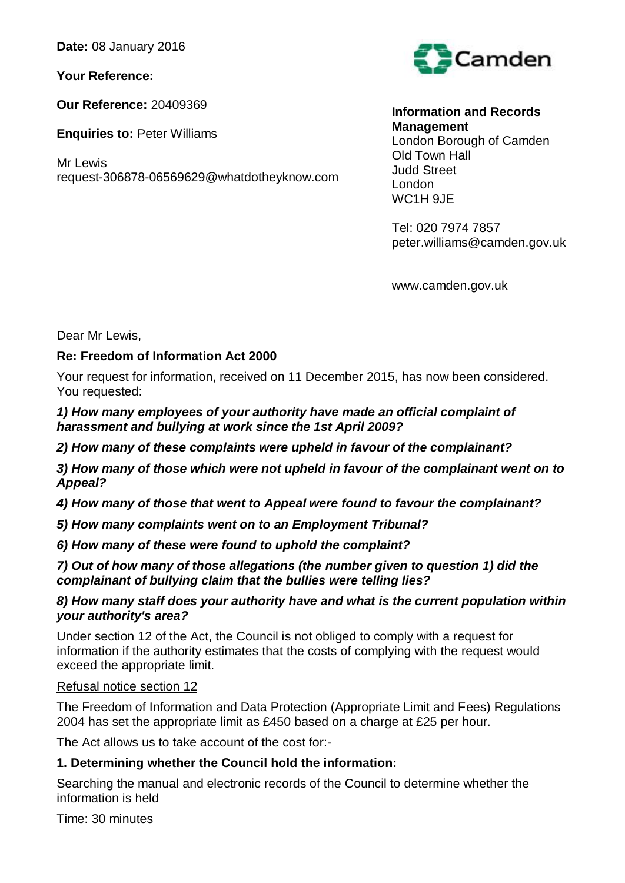**Date:** 08 January 2016

**Your Reference:** 

**Our Reference:** 20409369

**Enquiries to:** Peter Williams

Mr Lewis request-306878-06569629@whatdotheyknow.com



**Information and Records Management** London Borough of Camden Old Town Hall Judd Street London WC<sub>1</sub>H 9JF

Tel: 020 7974 7857 peter.williams@camden.gov.uk

www.camden.gov.uk

Dear Mr Lewis,

# **Re: Freedom of Information Act 2000**

Your request for information, received on 11 December 2015, has now been considered. You requested:

#### *1) How many employees of your authority have made an official complaint of harassment and bullying at work since the 1st April 2009?*

*2) How many of these complaints were upheld in favour of the complainant?* 

*3) How many of those which were not upheld in favour of the complainant went on to Appeal?* 

*4) How many of those that went to Appeal were found to favour the complainant?* 

*5) How many complaints went on to an Employment Tribunal?* 

*6) How many of these were found to uphold the complaint?* 

## *7) Out of how many of those allegations (the number given to question 1) did the complainant of bullying claim that the bullies were telling lies?*

## *8) How many staff does your authority have and what is the current population within your authority's area?*

Under section 12 of the Act, the Council is not obliged to comply with a request for information if the authority estimates that the costs of complying with the request would exceed the appropriate limit.

## Refusal notice section 12

The Freedom of Information and Data Protection (Appropriate Limit and Fees) Regulations 2004 has set the appropriate limit as £450 based on a charge at £25 per hour.

The Act allows us to take account of the cost for:-

# **1. Determining whether the Council hold the information:**

Searching the manual and electronic records of the Council to determine whether the information is held

Time: 30 minutes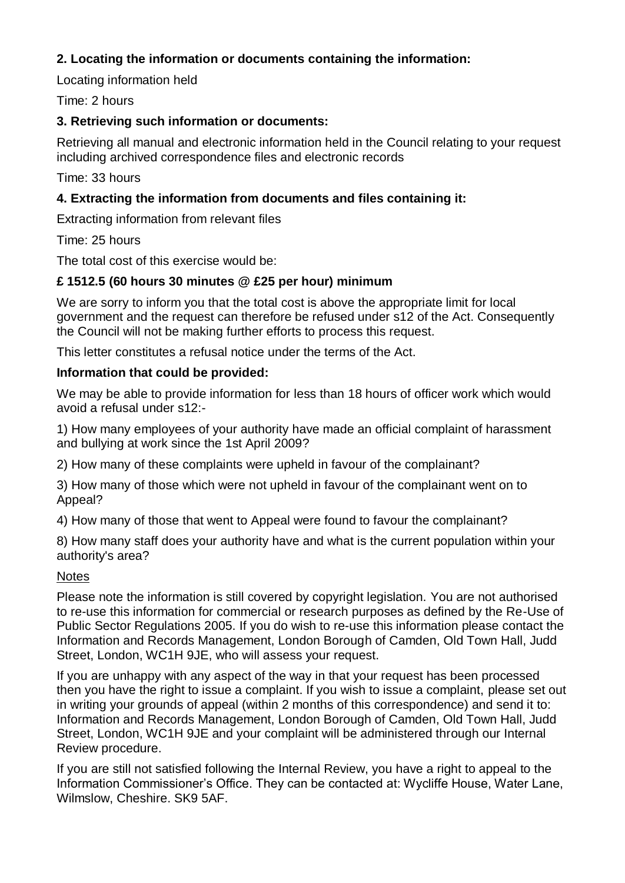# **2. Locating the information or documents containing the information:**

Locating information held

## Time: 2 hours

## **3. Retrieving such information or documents:**

Retrieving all manual and electronic information held in the Council relating to your request including archived correspondence files and electronic records

Time: 33 hours

# **4. Extracting the information from documents and files containing it:**

Extracting information from relevant files

Time: 25 hours

The total cost of this exercise would be:

# **£ 1512.5 (60 hours 30 minutes @ £25 per hour) minimum**

We are sorry to inform you that the total cost is above the appropriate limit for local government and the request can therefore be refused under s12 of the Act. Consequently the Council will not be making further efforts to process this request.

This letter constitutes a refusal notice under the terms of the Act.

## **Information that could be provided:**

We may be able to provide information for less than 18 hours of officer work which would avoid a refusal under s12:-

1) How many employees of your authority have made an official complaint of harassment and bullying at work since the 1st April 2009?

2) How many of these complaints were upheld in favour of the complainant?

3) How many of those which were not upheld in favour of the complainant went on to Appeal?

4) How many of those that went to Appeal were found to favour the complainant?

8) How many staff does your authority have and what is the current population within your authority's area?

## **Notes**

Please note the information is still covered by copyright legislation. You are not authorised to re-use this information for commercial or research purposes as defined by the Re-Use of Public Sector Regulations 2005. If you do wish to re-use this information please contact the Information and Records Management, London Borough of Camden, Old Town Hall, Judd Street, London, WC1H 9JE, who will assess your request.

If you are unhappy with any aspect of the way in that your request has been processed then you have the right to issue a complaint. If you wish to issue a complaint, please set out in writing your grounds of appeal (within 2 months of this correspondence) and send it to: Information and Records Management, London Borough of Camden, Old Town Hall, Judd Street, London, WC1H 9JE and your complaint will be administered through our Internal Review procedure.

If you are still not satisfied following the Internal Review, you have a right to appeal to the Information Commissioner's Office. They can be contacted at: Wycliffe House, Water Lane, Wilmslow, Cheshire. SK9 5AF.